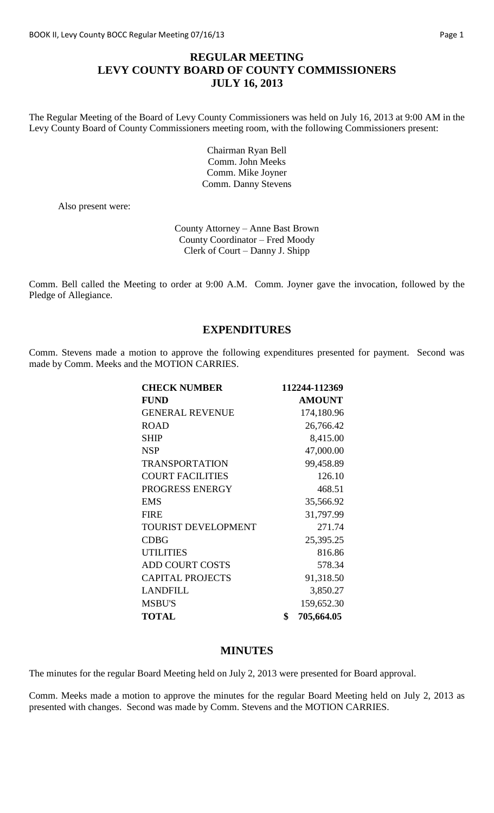# **REGULAR MEETING LEVY COUNTY BOARD OF COUNTY COMMISSIONERS JULY 16, 2013**

The Regular Meeting of the Board of Levy County Commissioners was held on July 16, 2013 at 9:00 AM in the Levy County Board of County Commissioners meeting room, with the following Commissioners present:

> Chairman Ryan Bell Comm. John Meeks Comm. Mike Joyner Comm. Danny Stevens

Also present were:

County Attorney – Anne Bast Brown County Coordinator – Fred Moody Clerk of Court – Danny J. Shipp

Comm. Bell called the Meeting to order at 9:00 A.M. Comm. Joyner gave the invocation, followed by the Pledge of Allegiance.

### **EXPENDITURES**

Comm. Stevens made a motion to approve the following expenditures presented for payment. Second was made by Comm. Meeks and the MOTION CARRIES.

| <b>CHECK NUMBER</b>        | 112244-112369    |
|----------------------------|------------------|
| <b>FUND</b>                | <b>AMOUNT</b>    |
| <b>GENERAL REVENUE</b>     | 174,180.96       |
| <b>ROAD</b>                | 26,766.42        |
| <b>SHIP</b>                | 8,415.00         |
| <b>NSP</b>                 | 47,000.00        |
| <b>TRANSPORTATION</b>      | 99,458.89        |
| <b>COURT FACILITIES</b>    | 126.10           |
| PROGRESS ENERGY            | 468.51           |
| <b>EMS</b>                 | 35,566.92        |
| <b>FIRE</b>                | 31,797.99        |
| <b>TOURIST DEVELOPMENT</b> | 271.74           |
| <b>CDBG</b>                | 25,395.25        |
| <b>UTILITIES</b>           | 816.86           |
| <b>ADD COURT COSTS</b>     | 578.34           |
| <b>CAPITAL PROJECTS</b>    | 91,318.50        |
| <b>LANDFILL</b>            | 3,850.27         |
| <b>MSBU'S</b>              | 159,652.30       |
| <b>TOTAL</b>               | \$<br>705,664.05 |

#### **MINUTES**

The minutes for the regular Board Meeting held on July 2, 2013 were presented for Board approval.

Comm. Meeks made a motion to approve the minutes for the regular Board Meeting held on July 2, 2013 as presented with changes. Second was made by Comm. Stevens and the MOTION CARRIES.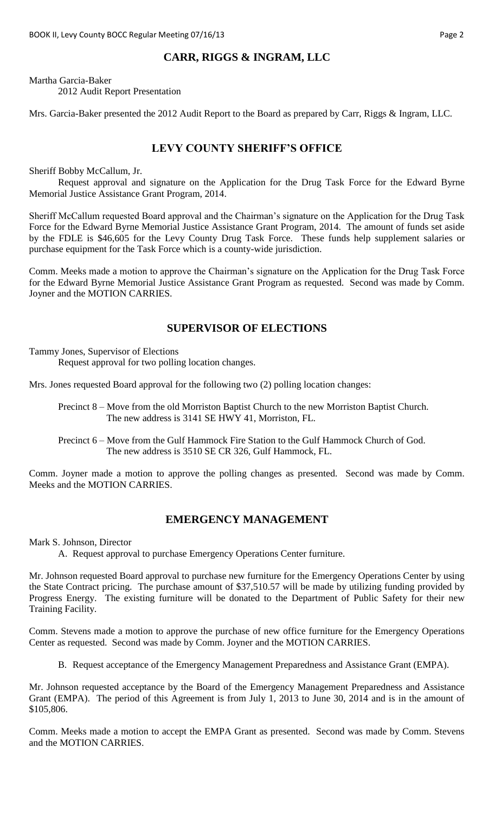# **CARR, RIGGS & INGRAM, LLC**

Martha Garcia-Baker 2012 Audit Report Presentation

Mrs. Garcia-Baker presented the 2012 Audit Report to the Board as prepared by Carr, Riggs & Ingram, LLC.

### **LEVY COUNTY SHERIFF'S OFFICE**

Sheriff Bobby McCallum, Jr.

Request approval and signature on the Application for the Drug Task Force for the Edward Byrne Memorial Justice Assistance Grant Program, 2014.

Sheriff McCallum requested Board approval and the Chairman's signature on the Application for the Drug Task Force for the Edward Byrne Memorial Justice Assistance Grant Program, 2014. The amount of funds set aside by the FDLE is \$46,605 for the Levy County Drug Task Force. These funds help supplement salaries or purchase equipment for the Task Force which is a county-wide jurisdiction.

Comm. Meeks made a motion to approve the Chairman's signature on the Application for the Drug Task Force for the Edward Byrne Memorial Justice Assistance Grant Program as requested. Second was made by Comm. Joyner and the MOTION CARRIES.

### **SUPERVISOR OF ELECTIONS**

Tammy Jones, Supervisor of Elections

Request approval for two polling location changes.

Mrs. Jones requested Board approval for the following two (2) polling location changes:

Precinct 8 – Move from the old Morriston Baptist Church to the new Morriston Baptist Church. The new address is 3141 SE HWY 41, Morriston, FL.

Precinct 6 – Move from the Gulf Hammock Fire Station to the Gulf Hammock Church of God. The new address is 3510 SE CR 326, Gulf Hammock, FL.

Comm. Joyner made a motion to approve the polling changes as presented. Second was made by Comm. Meeks and the MOTION CARRIES.

### **EMERGENCY MANAGEMENT**

Mark S. Johnson, Director

A. Request approval to purchase Emergency Operations Center furniture.

Mr. Johnson requested Board approval to purchase new furniture for the Emergency Operations Center by using the State Contract pricing. The purchase amount of \$37,510.57 will be made by utilizing funding provided by Progress Energy. The existing furniture will be donated to the Department of Public Safety for their new Training Facility.

Comm. Stevens made a motion to approve the purchase of new office furniture for the Emergency Operations Center as requested. Second was made by Comm. Joyner and the MOTION CARRIES.

B. Request acceptance of the Emergency Management Preparedness and Assistance Grant (EMPA).

Mr. Johnson requested acceptance by the Board of the Emergency Management Preparedness and Assistance Grant (EMPA). The period of this Agreement is from July 1, 2013 to June 30, 2014 and is in the amount of \$105,806.

Comm. Meeks made a motion to accept the EMPA Grant as presented. Second was made by Comm. Stevens and the MOTION CARRIES.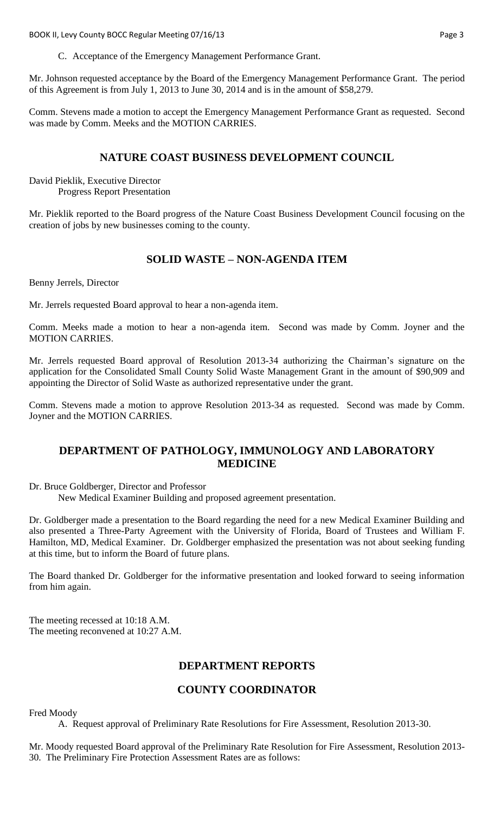BOOK II, Levy County BOCC Regular Meeting 07/16/13 **Page 3** Page 3

Mr. Johnson requested acceptance by the Board of the Emergency Management Performance Grant. The period of this Agreement is from July 1, 2013 to June 30, 2014 and is in the amount of \$58,279.

Comm. Stevens made a motion to accept the Emergency Management Performance Grant as requested. Second was made by Comm. Meeks and the MOTION CARRIES.

### **NATURE COAST BUSINESS DEVELOPMENT COUNCIL**

David Pieklik, Executive Director Progress Report Presentation

Mr. Pieklik reported to the Board progress of the Nature Coast Business Development Council focusing on the creation of jobs by new businesses coming to the county.

### **SOLID WASTE – NON-AGENDA ITEM**

Benny Jerrels, Director

Mr. Jerrels requested Board approval to hear a non-agenda item.

Comm. Meeks made a motion to hear a non-agenda item. Second was made by Comm. Joyner and the MOTION CARRIES.

Mr. Jerrels requested Board approval of Resolution 2013-34 authorizing the Chairman's signature on the application for the Consolidated Small County Solid Waste Management Grant in the amount of \$90,909 and appointing the Director of Solid Waste as authorized representative under the grant.

Comm. Stevens made a motion to approve Resolution 2013-34 as requested. Second was made by Comm. Joyner and the MOTION CARRIES.

### **DEPARTMENT OF PATHOLOGY, IMMUNOLOGY AND LABORATORY MEDICINE**

Dr. Bruce Goldberger, Director and Professor

New Medical Examiner Building and proposed agreement presentation.

Dr. Goldberger made a presentation to the Board regarding the need for a new Medical Examiner Building and also presented a Three-Party Agreement with the University of Florida, Board of Trustees and William F. Hamilton, MD, Medical Examiner. Dr. Goldberger emphasized the presentation was not about seeking funding at this time, but to inform the Board of future plans.

The Board thanked Dr. Goldberger for the informative presentation and looked forward to seeing information from him again.

The meeting recessed at 10:18 A.M. The meeting reconvened at 10:27 A.M.

### **DEPARTMENT REPORTS**

### **COUNTY COORDINATOR**

Fred Moody

A. Request approval of Preliminary Rate Resolutions for Fire Assessment, Resolution 2013-30.

Mr. Moody requested Board approval of the Preliminary Rate Resolution for Fire Assessment, Resolution 2013- 30. The Preliminary Fire Protection Assessment Rates are as follows: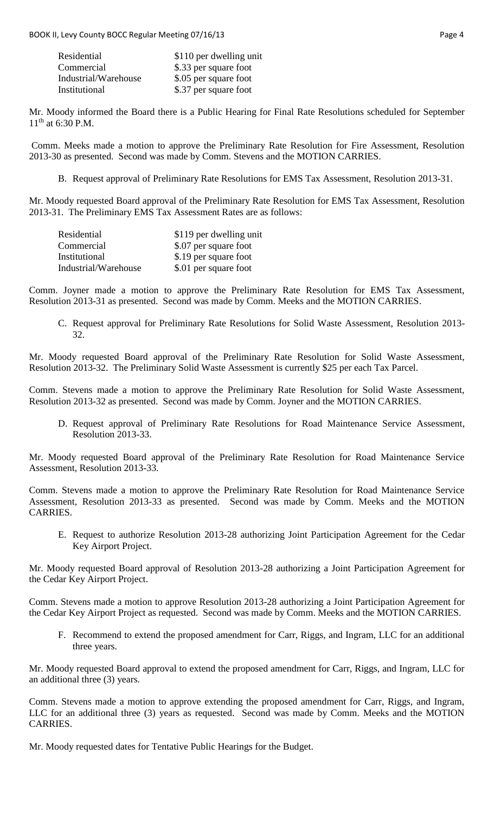| Residential          | \$110 per dwelling unit |
|----------------------|-------------------------|
| Commercial           | \$.33 per square foot   |
| Industrial/Warehouse | \$.05 per square foot   |
| Institutional        | \$.37 per square foot   |

Mr. Moody informed the Board there is a Public Hearing for Final Rate Resolutions scheduled for September  $11^{th}$  at 6:30 P.M.

Comm. Meeks made a motion to approve the Preliminary Rate Resolution for Fire Assessment, Resolution 2013-30 as presented. Second was made by Comm. Stevens and the MOTION CARRIES.

B. Request approval of Preliminary Rate Resolutions for EMS Tax Assessment, Resolution 2013-31.

Mr. Moody requested Board approval of the Preliminary Rate Resolution for EMS Tax Assessment, Resolution 2013-31. The Preliminary EMS Tax Assessment Rates are as follows:

| Residential          | \$119 per dwelling unit |
|----------------------|-------------------------|
| Commercial           | \$.07 per square foot   |
| Institutional        | \$.19 per square foot   |
| Industrial/Warehouse | \$.01 per square foot   |

Comm. Joyner made a motion to approve the Preliminary Rate Resolution for EMS Tax Assessment, Resolution 2013-31 as presented. Second was made by Comm. Meeks and the MOTION CARRIES.

C. Request approval for Preliminary Rate Resolutions for Solid Waste Assessment, Resolution 2013- 32.

Mr. Moody requested Board approval of the Preliminary Rate Resolution for Solid Waste Assessment, Resolution 2013-32. The Preliminary Solid Waste Assessment is currently \$25 per each Tax Parcel.

Comm. Stevens made a motion to approve the Preliminary Rate Resolution for Solid Waste Assessment, Resolution 2013-32 as presented. Second was made by Comm. Joyner and the MOTION CARRIES.

D. Request approval of Preliminary Rate Resolutions for Road Maintenance Service Assessment, Resolution 2013-33.

Mr. Moody requested Board approval of the Preliminary Rate Resolution for Road Maintenance Service Assessment, Resolution 2013-33.

Comm. Stevens made a motion to approve the Preliminary Rate Resolution for Road Maintenance Service Assessment, Resolution 2013-33 as presented. Second was made by Comm. Meeks and the MOTION CARRIES.

E. Request to authorize Resolution 2013-28 authorizing Joint Participation Agreement for the Cedar Key Airport Project.

Mr. Moody requested Board approval of Resolution 2013-28 authorizing a Joint Participation Agreement for the Cedar Key Airport Project.

Comm. Stevens made a motion to approve Resolution 2013-28 authorizing a Joint Participation Agreement for the Cedar Key Airport Project as requested. Second was made by Comm. Meeks and the MOTION CARRIES.

F. Recommend to extend the proposed amendment for Carr, Riggs, and Ingram, LLC for an additional three years.

Mr. Moody requested Board approval to extend the proposed amendment for Carr, Riggs, and Ingram, LLC for an additional three (3) years.

Comm. Stevens made a motion to approve extending the proposed amendment for Carr, Riggs, and Ingram, LLC for an additional three (3) years as requested. Second was made by Comm. Meeks and the MOTION CARRIES.

Mr. Moody requested dates for Tentative Public Hearings for the Budget.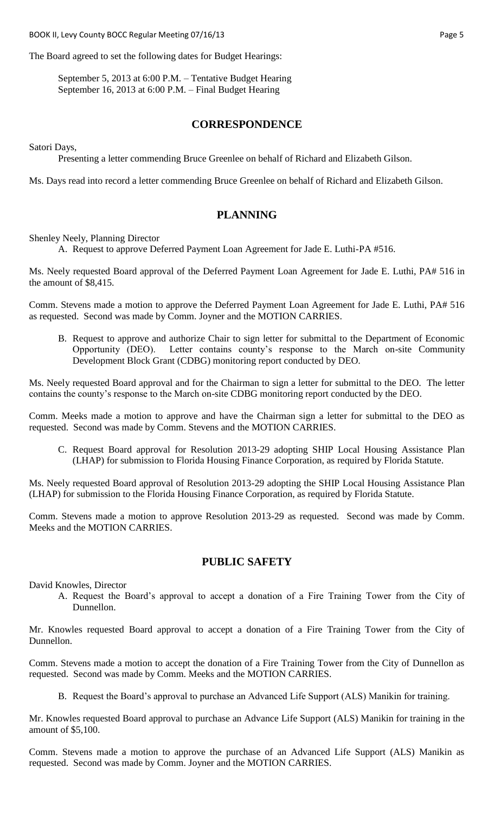BOOK II, Levy County BOCC Regular Meeting 07/16/13 **Page 5** Page 5

The Board agreed to set the following dates for Budget Hearings:

September 5, 2013 at 6:00 P.M. – Tentative Budget Hearing September 16, 2013 at 6:00 P.M. – Final Budget Hearing

#### **CORRESPONDENCE**

Satori Days,

Presenting a letter commending Bruce Greenlee on behalf of Richard and Elizabeth Gilson.

Ms. Days read into record a letter commending Bruce Greenlee on behalf of Richard and Elizabeth Gilson.

#### **PLANNING**

Shenley Neely, Planning Director

A. Request to approve Deferred Payment Loan Agreement for Jade E. Luthi-PA #516.

Ms. Neely requested Board approval of the Deferred Payment Loan Agreement for Jade E. Luthi, PA# 516 in the amount of \$8,415.

Comm. Stevens made a motion to approve the Deferred Payment Loan Agreement for Jade E. Luthi, PA# 516 as requested. Second was made by Comm. Joyner and the MOTION CARRIES.

B. Request to approve and authorize Chair to sign letter for submittal to the Department of Economic Opportunity (DEO). Letter contains county's response to the March on-site Community Development Block Grant (CDBG) monitoring report conducted by DEO.

Ms. Neely requested Board approval and for the Chairman to sign a letter for submittal to the DEO. The letter contains the county's response to the March on-site CDBG monitoring report conducted by the DEO.

Comm. Meeks made a motion to approve and have the Chairman sign a letter for submittal to the DEO as requested. Second was made by Comm. Stevens and the MOTION CARRIES.

C. Request Board approval for Resolution 2013-29 adopting SHIP Local Housing Assistance Plan (LHAP) for submission to Florida Housing Finance Corporation, as required by Florida Statute.

Ms. Neely requested Board approval of Resolution 2013-29 adopting the SHIP Local Housing Assistance Plan (LHAP) for submission to the Florida Housing Finance Corporation, as required by Florida Statute.

Comm. Stevens made a motion to approve Resolution 2013-29 as requested. Second was made by Comm. Meeks and the MOTION CARRIES.

#### **PUBLIC SAFETY**

David Knowles, Director

A. Request the Board's approval to accept a donation of a Fire Training Tower from the City of Dunnellon.

Mr. Knowles requested Board approval to accept a donation of a Fire Training Tower from the City of Dunnellon.

Comm. Stevens made a motion to accept the donation of a Fire Training Tower from the City of Dunnellon as requested. Second was made by Comm. Meeks and the MOTION CARRIES.

B. Request the Board's approval to purchase an Advanced Life Support (ALS) Manikin for training.

Mr. Knowles requested Board approval to purchase an Advance Life Support (ALS) Manikin for training in the amount of \$5,100.

Comm. Stevens made a motion to approve the purchase of an Advanced Life Support (ALS) Manikin as requested. Second was made by Comm. Joyner and the MOTION CARRIES.